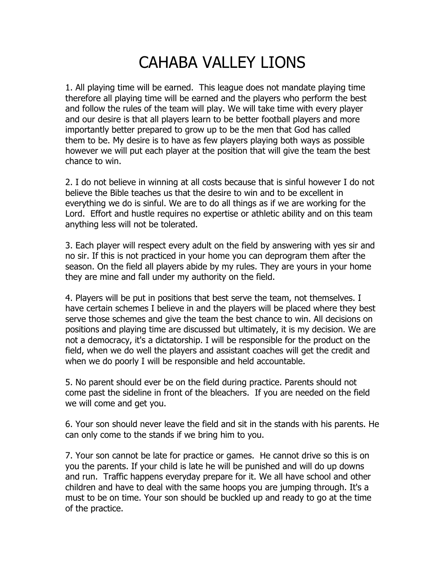## CAHABA VALLEY LIONS

1. All playing time will be earned. This league does not mandate playing time therefore all playing time will be earned and the players who perform the best and follow the rules of the team will play. We will take time with every player and our desire is that all players learn to be better football players and more importantly better prepared to grow up to be the men that God has called them to be. My desire is to have as few players playing both ways as possible however we will put each player at the position that will give the team the best chance to win.

2. I do not believe in winning at all costs because that is sinful however I do not believe the Bible teaches us that the desire to win and to be excellent in everything we do is sinful. We are to do all things as if we are working for the Lord. Effort and hustle requires no expertise or athletic ability and on this team anything less will not be tolerated.

3. Each player will respect every adult on the field by answering with yes sir and no sir. If this is not practiced in your home you can deprogram them after the season. On the field all players abide by my rules. They are yours in your home they are mine and fall under my authority on the field.

4. Players will be put in positions that best serve the team, not themselves. I have certain schemes I believe in and the players will be placed where they best serve those schemes and give the team the best chance to win. All decisions on positions and playing time are discussed but ultimately, it is my decision. We are not a democracy, it's a dictatorship. I will be responsible for the product on the field, when we do well the players and assistant coaches will get the credit and when we do poorly I will be responsible and held accountable.

5. No parent should ever be on the field during practice. Parents should not come past the sideline in front of the bleachers. If you are needed on the field we will come and get you.

6. Your son should never leave the field and sit in the stands with his parents. He can only come to the stands if we bring him to you.

7. Your son cannot be late for practice or games. He cannot drive so this is on you the parents. If your child is late he will be punished and will do up downs and run. Traffic happens everyday prepare for it. We all have school and other children and have to deal with the same hoops you are jumping through. It's a must to be on time. Your son should be buckled up and ready to go at the time of the practice.